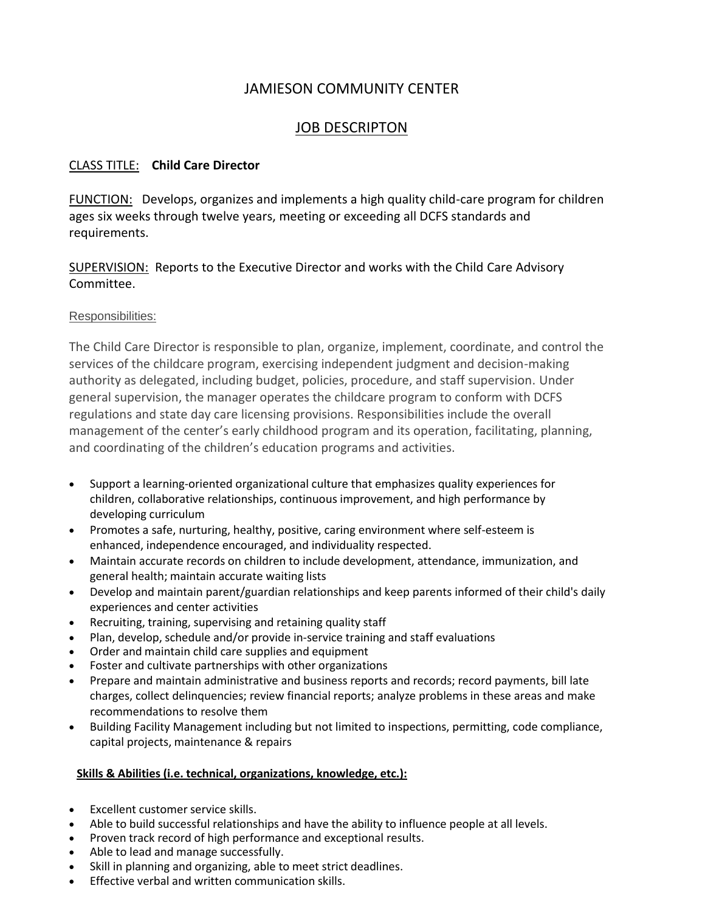# JAMIESON COMMUNITY CENTER

# JOB DESCRIPTON

## CLASS TITLE: **Child Care Director**

FUNCTION: Develops, organizes and implements a high quality child-care program for children ages six weeks through twelve years, meeting or exceeding all DCFS standards and requirements.

SUPERVISION: Reports to the Executive Director and works with the Child Care Advisory Committee.

## Responsibilities:

The Child Care Director is responsible to plan, organize, implement, coordinate, and control the services of the childcare program, exercising independent judgment and decision-making authority as delegated, including budget, policies, procedure, and staff supervision. Under general supervision, the manager operates the childcare program to conform with DCFS regulations and state day care licensing provisions. Responsibilities include the overall management of the center's early childhood program and its operation, facilitating, planning, and coordinating of the children's education programs and activities.

- Support a learning-oriented organizational culture that emphasizes quality experiences for children, collaborative relationships, continuous improvement, and high performance by developing curriculum
- Promotes a safe, nurturing, healthy, positive, caring environment where self-esteem is enhanced, independence encouraged, and individuality respected.
- Maintain accurate records on children to include development, attendance, immunization, and general health; maintain accurate waiting lists
- Develop and maintain parent/guardian relationships and keep parents informed of their child's daily experiences and center activities
- Recruiting, training, supervising and retaining quality staff
- Plan, develop, schedule and/or provide in-service training and staff evaluations
- Order and maintain child care supplies and equipment
- Foster and cultivate partnerships with other organizations
- Prepare and maintain administrative and business reports and records; record payments, bill late charges, collect delinquencies; review financial reports; analyze problems in these areas and make recommendations to resolve them
- Building Facility Management including but not limited to inspections, permitting, code compliance, capital projects, maintenance & repairs

#### **Skills & Abilities (i.e. technical, organizations, knowledge, etc.):**

- Excellent customer service skills.
- Able to build successful relationships and have the ability to influence people at all levels.
- Proven track record of high performance and exceptional results.
- Able to lead and manage successfully.
- Skill in planning and organizing, able to meet strict deadlines.
- **Effective verbal and written communication skills.**